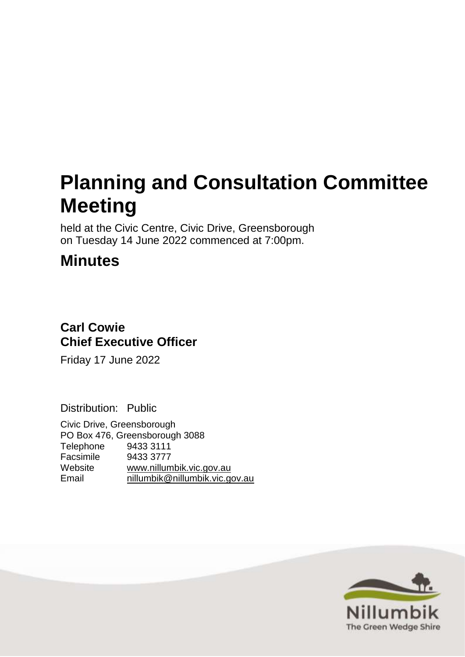# **Planning and Consultation Committee Meeting**

held at the Civic Centre, Civic Drive, Greensborough on Tuesday 14 June 2022 commenced at 7:00pm.

# **Minutes**

# **Carl Cowie Chief Executive Officer**

Friday 17 June 2022

Distribution: Public

Civic Drive, Greensborough PO Box 476, Greensborough 3088 Telephone 9433 3111 Facsimile 9433 3777 Website [www.nillumbik.vic.gov.au](http://www.nillumbik.vic.gov.au/) [nillumbik@nillumbik.vic.gov.au](mailto:nillumbik@nillumbik.vic.gov.au)

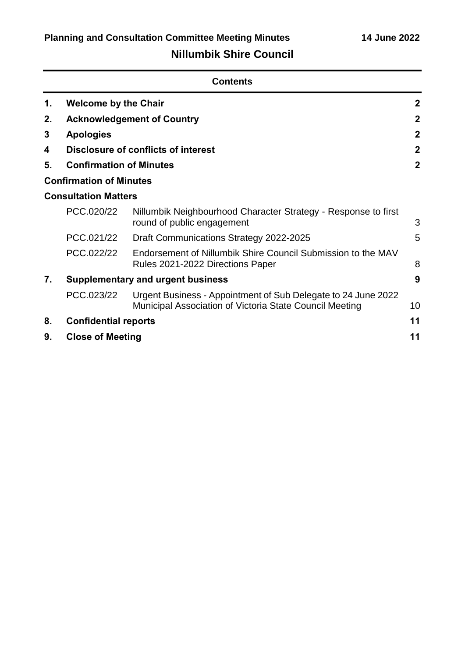## **Nillumbik Shire Council**

| <b>Contents</b> |                                          |                                                                                                                          |                |
|-----------------|------------------------------------------|--------------------------------------------------------------------------------------------------------------------------|----------------|
| 1.              | <b>Welcome by the Chair</b>              |                                                                                                                          | $\mathbf{2}$   |
| 2.              |                                          | <b>Acknowledgement of Country</b>                                                                                        | $\mathbf{2}$   |
| 3               | <b>Apologies</b>                         |                                                                                                                          | $\mathbf{2}$   |
| 4               |                                          | Disclosure of conflicts of interest                                                                                      | $\mathbf{2}$   |
| 5.              | <b>Confirmation of Minutes</b>           |                                                                                                                          | $\overline{2}$ |
|                 | <b>Confirmation of Minutes</b>           |                                                                                                                          |                |
|                 | <b>Consultation Matters</b>              |                                                                                                                          |                |
|                 | PCC.020/22                               | Nillumbik Neighbourhood Character Strategy - Response to first<br>round of public engagement                             | 3              |
|                 | PCC.021/22                               | Draft Communications Strategy 2022-2025                                                                                  | 5              |
|                 | PCC.022/22                               | Endorsement of Nillumbik Shire Council Submission to the MAV<br>Rules 2021-2022 Directions Paper                         | 8              |
| 7.              | <b>Supplementary and urgent business</b> |                                                                                                                          | 9              |
|                 | PCC.023/22                               | Urgent Business - Appointment of Sub Delegate to 24 June 2022<br>Municipal Association of Victoria State Council Meeting | 10             |
| 8.              | <b>Confidential reports</b>              |                                                                                                                          | 11             |
| 9.              | <b>Close of Meeting</b>                  |                                                                                                                          | 11             |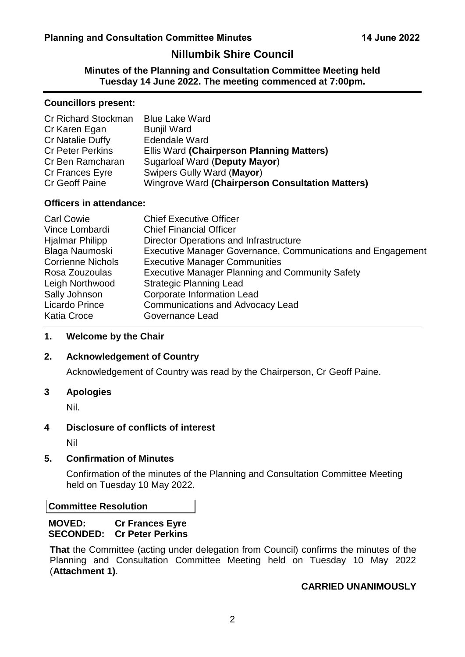### **Nillumbik Shire Council**

<span id="page-2-5"></span>**Minutes of the Planning and Consultation Committee Meeting held Tuesday 14 June 2022. The meeting commenced at 7:00pm.**

#### **Councillors present:**

| Cr Richard Stockman     | <b>Blue Lake Ward</b>                            |
|-------------------------|--------------------------------------------------|
| Cr Karen Egan           | <b>Bunjil Ward</b>                               |
| Cr Natalie Duffy        | <b>Edendale Ward</b>                             |
| <b>Cr Peter Perkins</b> | Ellis Ward (Chairperson Planning Matters)        |
| Cr Ben Ramcharan        | Sugarloaf Ward (Deputy Mayor)                    |
| <b>Cr Frances Eyre</b>  | Swipers Gully Ward (Mayor)                       |
| <b>Cr Geoff Paine</b>   | Wingrove Ward (Chairperson Consultation Matters) |

#### **Officers in attendance:**

| <b>Carl Cowie</b>        | <b>Chief Executive Officer</b>                              |
|--------------------------|-------------------------------------------------------------|
| Vince Lombardi           | <b>Chief Financial Officer</b>                              |
| <b>Hjalmar Philipp</b>   | Director Operations and Infrastructure                      |
| Blaga Naumoski           | Executive Manager Governance, Communications and Engagement |
| <b>Corrienne Nichols</b> | <b>Executive Manager Communities</b>                        |
| Rosa Zouzoulas           | <b>Executive Manager Planning and Community Safety</b>      |
| Leigh Northwood          | <b>Strategic Planning Lead</b>                              |
| Sally Johnson            | <b>Corporate Information Lead</b>                           |
| <b>Licardo Prince</b>    | <b>Communications and Advocacy Lead</b>                     |
| <b>Katia Croce</b>       | <b>Governance Lead</b>                                      |

#### <span id="page-2-0"></span>**1. Welcome by the Chair**

#### <span id="page-2-1"></span>**2. Acknowledgement of Country**

Acknowledgement of Country was read by the Chairperson, Cr Geoff Paine.

#### <span id="page-2-2"></span>**3 Apologies**

Nil.

#### <span id="page-2-3"></span>**4 Disclosure of conflicts of interest**

Nil

#### <span id="page-2-4"></span>**5. Confirmation of Minutes**

Confirmation of the minutes of the Planning and Consultation Committee Meeting held on Tuesday 10 May 2022.

#### **Committee Resolution**

#### **MOVED: Cr Frances Eyre SECONDED: Cr Peter Perkins**

**That** the Committee (acting under delegation from Council) confirms the minutes of the Planning and Consultation Committee Meeting held on Tuesday 10 May 2022 (**Attachment 1)**.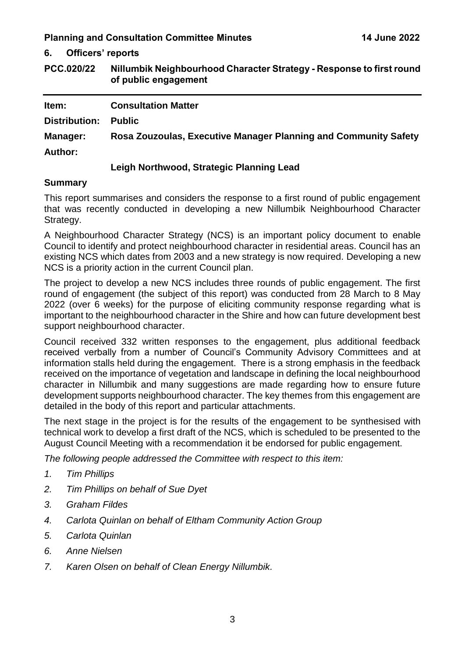<span id="page-3-0"></span>**6. Officers' reports**

<span id="page-3-1"></span>**PCC.020/22 Nillumbik Neighbourhood Character Strategy - Response to first round of public engagement**

| Item:           | <b>Consultation Matter</b>                                      |
|-----------------|-----------------------------------------------------------------|
| Distribution:   | <b>Public</b>                                                   |
| <b>Manager:</b> | Rosa Zouzoulas, Executive Manager Planning and Community Safety |
| <b>Author:</b>  |                                                                 |
|                 | .                                                               |

#### **Leigh Northwood, Strategic Planning Lead**

#### **Summary**

This report summarises and considers the response to a first round of public engagement that was recently conducted in developing a new Nillumbik Neighbourhood Character Strategy.

A Neighbourhood Character Strategy (NCS) is an important policy document to enable Council to identify and protect neighbourhood character in residential areas. Council has an existing NCS which dates from 2003 and a new strategy is now required. Developing a new NCS is a priority action in the current Council plan.

The project to develop a new NCS includes three rounds of public engagement. The first round of engagement (the subject of this report) was conducted from 28 March to 8 May 2022 (over 6 weeks) for the purpose of eliciting community response regarding what is important to the neighbourhood character in the Shire and how can future development best support neighbourhood character.

Council received 332 written responses to the engagement, plus additional feedback received verbally from a number of Council's Community Advisory Committees and at information stalls held during the engagement. There is a strong emphasis in the feedback received on the importance of vegetation and landscape in defining the local neighbourhood character in Nillumbik and many suggestions are made regarding how to ensure future development supports neighbourhood character. The key themes from this engagement are detailed in the body of this report and particular attachments.

The next stage in the project is for the results of the engagement to be synthesised with technical work to develop a first draft of the NCS, which is scheduled to be presented to the August Council Meeting with a recommendation it be endorsed for public engagement.

*The following people addressed the Committee with respect to this item:*

- *1. Tim Phillips*
- *2. Tim Phillips on behalf of Sue Dyet*
- *3. Graham Fildes*
- *4. Carlota Quinlan on behalf of Eltham Community Action Group*
- *5. Carlota Quinlan*
- *6. Anne Nielsen*
- *7. Karen Olsen on behalf of Clean Energy Nillumbik.*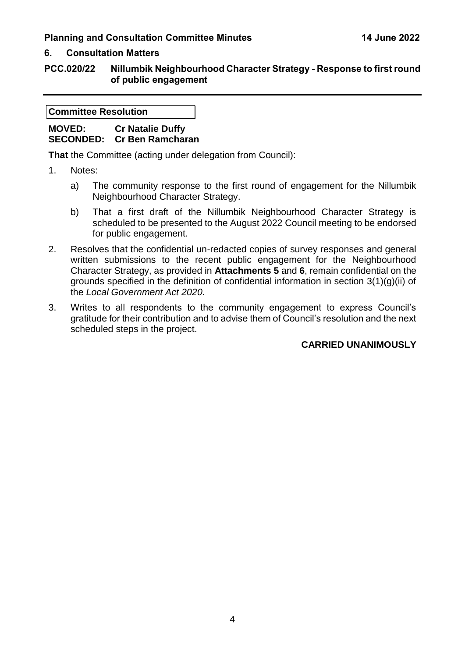#### **6. Consultation Matters**

#### **PCC.020/22 Nillumbik Neighbourhood Character Strategy - Response to first round of public engagement**

**Committee Resolution**

#### **MOVED: Cr Natalie Duffy SECONDED: Cr Ben Ramcharan**

**That** the Committee (acting under delegation from Council):

- 1. Notes:
	- a) The community response to the first round of engagement for the Nillumbik Neighbourhood Character Strategy.
	- b) That a first draft of the Nillumbik Neighbourhood Character Strategy is scheduled to be presented to the August 2022 Council meeting to be endorsed for public engagement.
- 2. Resolves that the confidential un-redacted copies of survey responses and general written submissions to the recent public engagement for the Neighbourhood Character Strategy, as provided in **Attachments 5** and **6**, remain confidential on the grounds specified in the definition of confidential information in section 3(1)(g)(ii) of the *Local Government Act 2020.*
- 3. Writes to all respondents to the community engagement to express Council's gratitude for their contribution and to advise them of Council's resolution and the next scheduled steps in the project.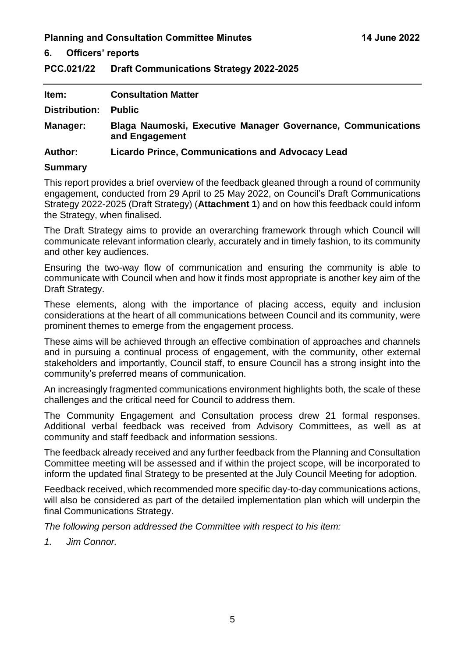#### **6. Officers' reports**

<span id="page-5-0"></span>**PCC.021/22 Draft Communications Strategy 2022-2025** 

| Item:                | <b>Consultation Matter</b>                                                     |
|----------------------|--------------------------------------------------------------------------------|
| <b>Distribution:</b> | <b>Public</b>                                                                  |
| <b>Manager:</b>      | Blaga Naumoski, Executive Manager Governance, Communications<br>and Engagement |
| <b>Author:</b>       | <b>Licardo Prince, Communications and Advocacy Lead</b>                        |

#### **Summary**

This report provides a brief overview of the feedback gleaned through a round of community engagement, conducted from 29 April to 25 May 2022, on Council's Draft Communications Strategy 2022-2025 (Draft Strategy) (**Attachment 1**) and on how this feedback could inform the Strategy, when finalised.

The Draft Strategy aims to provide an overarching framework through which Council will communicate relevant information clearly, accurately and in timely fashion, to its community and other key audiences.

Ensuring the two-way flow of communication and ensuring the community is able to communicate with Council when and how it finds most appropriate is another key aim of the Draft Strategy.

These elements, along with the importance of placing access, equity and inclusion considerations at the heart of all communications between Council and its community, were prominent themes to emerge from the engagement process.

These aims will be achieved through an effective combination of approaches and channels and in pursuing a continual process of engagement, with the community, other external stakeholders and importantly, Council staff, to ensure Council has a strong insight into the community's preferred means of communication.

An increasingly fragmented communications environment highlights both, the scale of these challenges and the critical need for Council to address them.

The Community Engagement and Consultation process drew 21 formal responses. Additional verbal feedback was received from Advisory Committees, as well as at community and staff feedback and information sessions.

The feedback already received and any further feedback from the Planning and Consultation Committee meeting will be assessed and if within the project scope, will be incorporated to inform the updated final Strategy to be presented at the July Council Meeting for adoption.

Feedback received, which recommended more specific day-to-day communications actions, will also be considered as part of the detailed implementation plan which will underpin the final Communications Strategy.

*The following person addressed the Committee with respect to his item:*

*1. Jim Connor.*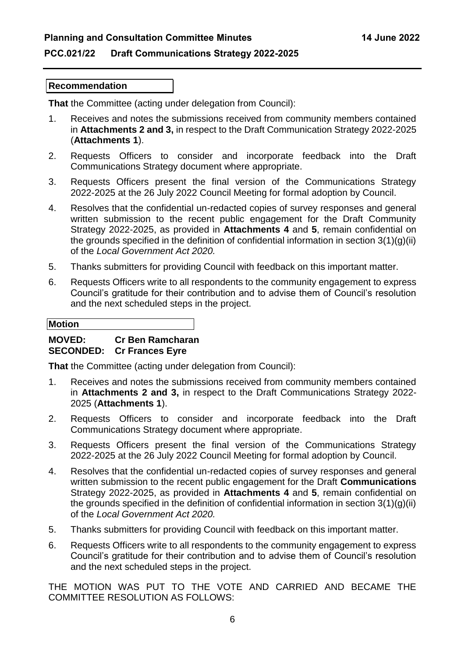#### **PCC.021/22 Draft Communications Strategy 2022-2025**

#### **Recommendation**

**That** the Committee (acting under delegation from Council):

- 1. Receives and notes the submissions received from community members contained in **Attachments 2 and 3,** in respect to the Draft Communication Strategy 2022-2025 (**Attachments 1**).
- 2. Requests Officers to consider and incorporate feedback into the Draft Communications Strategy document where appropriate.
- 3. Requests Officers present the final version of the Communications Strategy 2022-2025 at the 26 July 2022 Council Meeting for formal adoption by Council.
- 4. Resolves that the confidential un-redacted copies of survey responses and general written submission to the recent public engagement for the Draft Community Strategy 2022-2025, as provided in **Attachments 4** and **5**, remain confidential on the grounds specified in the definition of confidential information in section  $3(1)(q)(ii)$ of the *Local Government Act 2020.*
- 5. Thanks submitters for providing Council with feedback on this important matter.
- 6. Requests Officers write to all respondents to the community engagement to express Council's gratitude for their contribution and to advise them of Council's resolution and the next scheduled steps in the project.

# **Motion**

### **MOVED: Cr Ben Ramcharan**

#### **SECONDED: Cr Frances Eyre**

**That** the Committee (acting under delegation from Council):

- 1. Receives and notes the submissions received from community members contained in **Attachments 2 and 3,** in respect to the Draft Communications Strategy 2022- 2025 (**Attachments 1**).
- 2. Requests Officers to consider and incorporate feedback into the Draft Communications Strategy document where appropriate.
- 3. Requests Officers present the final version of the Communications Strategy 2022-2025 at the 26 July 2022 Council Meeting for formal adoption by Council.
- 4. Resolves that the confidential un-redacted copies of survey responses and general written submission to the recent public engagement for the Draft **Communications** Strategy 2022-2025, as provided in **Attachments 4** and **5**, remain confidential on the grounds specified in the definition of confidential information in section 3(1)(g)(ii) of the *Local Government Act 2020.*
- 5. Thanks submitters for providing Council with feedback on this important matter.
- 6. Requests Officers write to all respondents to the community engagement to express Council's gratitude for their contribution and to advise them of Council's resolution and the next scheduled steps in the project.

THE MOTION WAS PUT TO THE VOTE AND CARRIED AND BECAME THE COMMITTEE RESOLUTION AS FOLLOWS: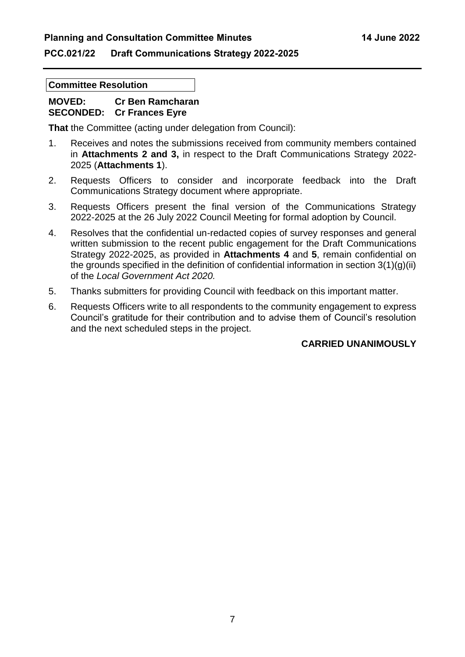#### **PCC.021/22 Draft Communications Strategy 2022-2025**

#### **Committee Resolution**

#### **MOVED: Cr Ben Ramcharan SECONDED: Cr Frances Eyre**

**That** the Committee (acting under delegation from Council):

- 1. Receives and notes the submissions received from community members contained in **Attachments 2 and 3,** in respect to the Draft Communications Strategy 2022- 2025 (**Attachments 1**).
- 2. Requests Officers to consider and incorporate feedback into the Draft Communications Strategy document where appropriate.
- 3. Requests Officers present the final version of the Communications Strategy 2022-2025 at the 26 July 2022 Council Meeting for formal adoption by Council.
- 4. Resolves that the confidential un-redacted copies of survey responses and general written submission to the recent public engagement for the Draft Communications Strategy 2022-2025, as provided in **Attachments 4** and **5**, remain confidential on the grounds specified in the definition of confidential information in section 3(1)(g)(ii) of the *Local Government Act 2020.*
- 5. Thanks submitters for providing Council with feedback on this important matter.
- 6. Requests Officers write to all respondents to the community engagement to express Council's gratitude for their contribution and to advise them of Council's resolution and the next scheduled steps in the project.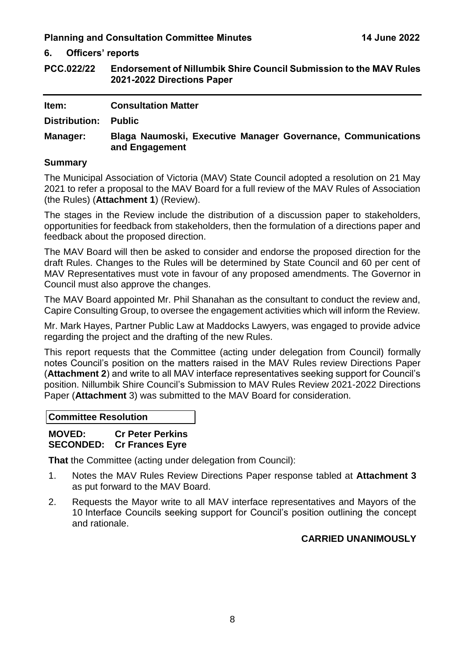**6. Officers' reports**

<span id="page-8-0"></span>**PCC.022/22 Endorsement of Nillumbik Shire Council Submission to the MAV Rules 2021-2022 Directions Paper**

| Item:           | <b>Consultation Matter</b>                                                     |
|-----------------|--------------------------------------------------------------------------------|
| Distribution:   | <b>Public</b>                                                                  |
| <b>Manager:</b> | Blaga Naumoski, Executive Manager Governance, Communications<br>and Engagement |
| <b>Summary</b>  |                                                                                |

The Municipal Association of Victoria (MAV) State Council adopted a resolution on 21 May 2021 to refer a proposal to the MAV Board for a full review of the MAV Rules of Association (the Rules) (**Attachment 1**) (Review).

The stages in the Review include the distribution of a discussion paper to stakeholders, opportunities for feedback from stakeholders, then the formulation of a directions paper and feedback about the proposed direction.

The MAV Board will then be asked to consider and endorse the proposed direction for the draft Rules. Changes to the Rules will be determined by State Council and 60 per cent of MAV Representatives must vote in favour of any proposed amendments. The Governor in Council must also approve the changes.

The MAV Board appointed Mr. Phil Shanahan as the consultant to conduct the review and, Capire Consulting Group, to oversee the engagement activities which will inform the Review.

Mr. Mark Hayes, Partner Public Law at Maddocks Lawyers, was engaged to provide advice regarding the project and the drafting of the new Rules.

This report requests that the Committee (acting under delegation from Council) formally notes Council's position on the matters raised in the MAV Rules review Directions Paper (**Attachment 2**) and write to all MAV interface representatives seeking support for Council's position. Nillumbik Shire Council's Submission to MAV Rules Review 2021-2022 Directions Paper (**Attachment** 3) was submitted to the MAV Board for consideration.

**Committee Resolution**

**MOVED: Cr Peter Perkins SECONDED: Cr Frances Eyre** 

**That** the Committee (acting under delegation from Council):

- 1. Notes the MAV Rules Review Directions Paper response tabled at **Attachment 3**  as put forward to the MAV Board.
- 2. Requests the Mayor write to all MAV interface representatives and Mayors of the 10 Interface Councils seeking support for Council's position outlining the concept and rationale.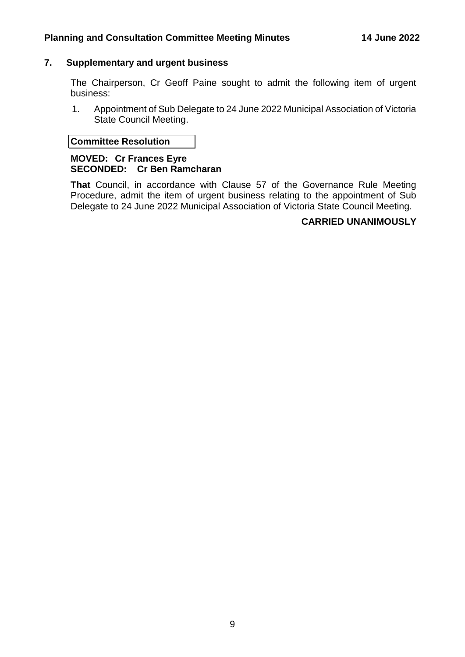#### <span id="page-9-0"></span>**7. Supplementary and urgent business**

The Chairperson, Cr Geoff Paine sought to admit the following item of urgent business:

1. Appointment of Sub Delegate to 24 June 2022 Municipal Association of Victoria State Council Meeting.

#### **Committee Resolution**

#### **MOVED: Cr Frances Eyre SECONDED: Cr Ben Ramcharan**

**That** Council, in accordance with Clause 57 of the Governance Rule Meeting Procedure, admit the item of urgent business relating to the appointment of Sub Delegate to 24 June 2022 Municipal Association of Victoria State Council Meeting.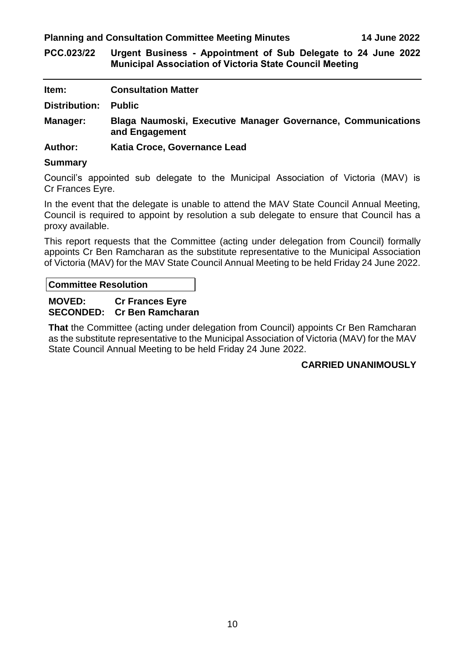<span id="page-10-0"></span>**PCC.023/22 Urgent Business - Appointment of Sub Delegate to 24 June 2022 Municipal Association of Victoria State Council Meeting**

| Item:          | <b>Consultation Matter</b>                                                     |
|----------------|--------------------------------------------------------------------------------|
| Distribution:  | <b>Public</b>                                                                  |
| Manager:       | Blaga Naumoski, Executive Manager Governance, Communications<br>and Engagement |
| <b>Author:</b> | Katia Croce, Governance Lead                                                   |

#### **Summary**

Council's appointed sub delegate to the Municipal Association of Victoria (MAV) is Cr Frances Eyre.

In the event that the delegate is unable to attend the MAV State Council Annual Meeting, Council is required to appoint by resolution a sub delegate to ensure that Council has a proxy available.

This report requests that the Committee (acting under delegation from Council) formally appoints Cr Ben Ramcharan as the substitute representative to the Municipal Association of Victoria (MAV) for the MAV State Council Annual Meeting to be held Friday 24 June 2022.

**Committee Resolution**

#### **MOVED: Cr Frances Eyre SECONDED: Cr Ben Ramcharan**

**That** the Committee (acting under delegation from Council) appoints Cr Ben Ramcharan as the substitute representative to the Municipal Association of Victoria (MAV) for the MAV State Council Annual Meeting to be held Friday 24 June 2022.